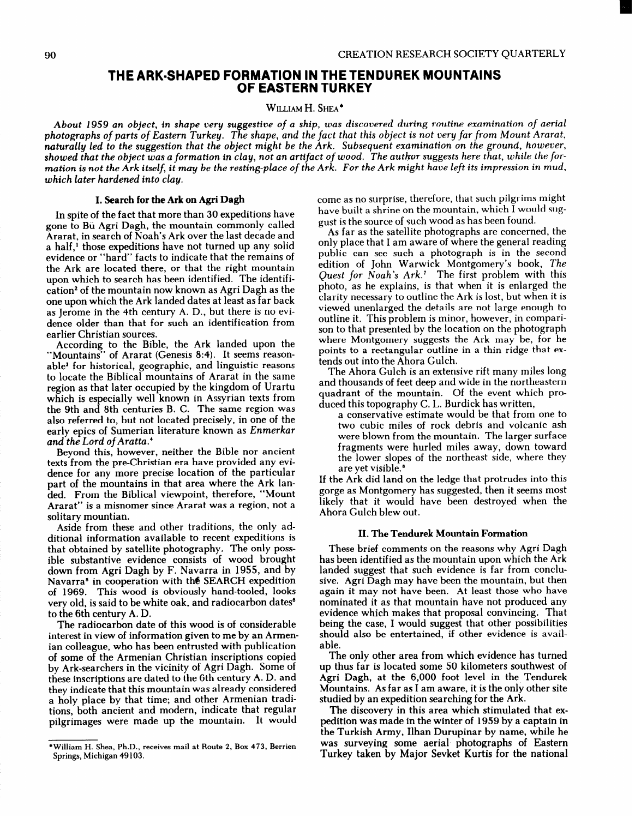# THE ARK-SHAPED FORMATION IN THE TENDUREK MOUNTAINS OF EASTERN TURKEY

### WILLIAM H. SHEA<sup>\*</sup>

About 1959 an object, in shape very suggestive of a ship, was discovered during routine examination of aerial photographs of parts of Eastern Turkey. The shape, and the fact that this object is not very far from Mount Ararat, naturally led to the suggestion that the object might be the Ark. Subsequent examination on the ground, however, showed that the object was a formation in clay, not an artifact of wood. The author suggests here that, while the formation is not the Ark itself, it may be the resting-place of the Ark. For the Ark might have left its impression in mud, which later hardened into clay.

#### I. Search for the Ark on Agri Dagh

In spite of the fact that more than 30 expeditions have gone to Bu Agri Dagh, the mountain commonly called Ararat, in search of Noah's Ark over the last decade and a half,' those expeditions have not turned up any solid evidence or "hard" facts to indicate that the remains of the Ark are located there, or that the right mountain upon which to search has been identified. The identification<sup>2</sup> of the mountain now known as Agri Dagh as the one upon which the Ark landed dates at least as far back as Jerome in the 4th century A. D., but there is no evidence older than that for such an identification from earlier Christian sources.

According to the Bible, the Ark landed upon the "Mountains" of Ararat (Genesis 8:4). It seems reasonable3 for historical, geographic, and linguistic reasons to locate the Biblical mountains of Ararat in the same region as that later occupied by the kingdom of Urartu which is especially well known in Assyrian texts from the 9th and 8th centuries B. C. The same region was also referred to, but not located precisely, in one of the early epics of Sumerian literature known as Enmerkar and the Lord of Aratta.'

Beyond this, however, neither the Bible nor ancient texts from the pre-Christian era have provided any evidence for any more precise location of the particular part of the mountains in that area where the Ark landed. From the Biblical viewpoint, therefore, "Mount Ararat" is a misnomer since Ararat was a region, not a solitary mountian.

Aside from these and other traditions, the only additional information available to recent expeditions is that obtained by satellite photography. The only possible substantive evidence consists of wood brought down from Agri Dagh by F. Navarra in 1955, and by Navarra<sup>s</sup> in cooperation with the SEARCH expedition of 1969. This wood is obviously hand-tooled, looks very old, is said to be white oak, and radiocarbon dates<sup>®</sup> to the 6th century A. D.

The radiocarbon date of this wood is of considerable interest in view of information given to me by an Armenian colleague, who has been entrusted with publication of some of the Armenian Christian inscriptions copied by Ark-searchers in the vicinity of Agri Dagh. Some of these inscriptions are dated to the 6th century A. D. and they indicate that this mountain was already considered a holy place by that time; and other Armenian traditions, both ancient and modern, indicate that regular pilgrimages were made up the mountain. It would

come as no surprise, therefore, that such pilgrims might have built a shrine on the mountain, which  $\tilde{I}$  would suggust is the source of such wood as has been found.

As far as the satellite photographs are concerned, the only place that I am aware of where the general reading public can see such a photograph is in the second edition of John Warwick Montgomery's book, The Quest for Noah's Ark.' The first problem with this photo, as he explains, is that when it is enlarged the clarity necessary to outline the Ark is lost, but when it is viewed unenlarged the details are not large enough to outline it. This problem is minor, however, in comparison to that presented by the location on the photograph where Montgomery suggests the Ark may be, for he points to a rectangular outline in a thin ridge that extends out into the Ahora Gulch.

The Ahora Gulch is an extensive rift many miles long and thousands of feet deep and wide in the northeastern quadrant of the mountain. Of the event which produced this topography C. L. Burdick has written,

a conservative estimate would be that from one to two cubic miles of rock debris and volcanic ash were blown from the mountain. The larger surface fragments were hurled miles away, down toward the lower slopes of the northeast side, where they are yet visible.<sup>8</sup>

If the Ark did land on the ledge that protrudes into this gorge as Montgomery has suggested, then it seems most likely that it would have been destroyed when the Ahora Gulch blew out.

#### II. The Tendurek Mountain Formation

These brief comments on the reasons why Agri Dagh has been identified as the mountain upon which the Ark landed suggest that such evidence is far from conclusive. Agri Dagh may have been the mountain, but then again it may not have been. At least those who have nominated it as that mountain have not produced any evidence which makes that proposal convincing. That being the case, I would suggest that other possibilities should also be entertained, if other evidence is available.

The only other area from which evidence has turned up thus far is located some 50 kilometers southwest of Agri Dagh, at the 6,000 foot level in the Tendurek Mountains. As far as I am aware, it is the only other site studied by an expedition searching for the Ark.

The discovery in this area which stimulated that expedition was made in the winter of 1959 by a captain in the Turkish Army, Ilhan Durupinar by name, while he was surveying some aerial photographs of Eastern Turkey taken by Major Sevket Kurtis for the national

<sup>\*</sup>William H. Shea, Ph.D., receives mail at Route 2. Box 473, Berrien Springs, Michigan 49 103.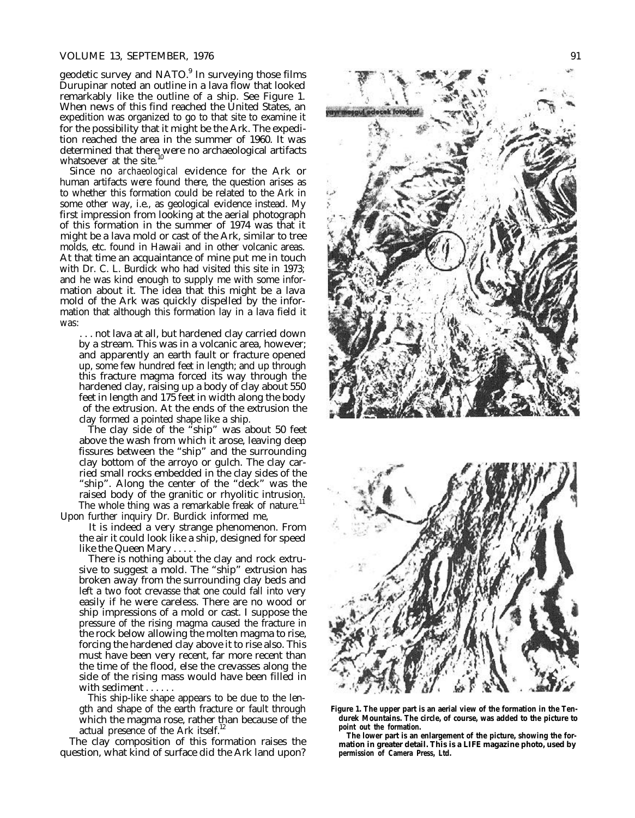#### VOLUME 13, SEPTEMBER, 1976 91

geodetic survey and NATO.<sup>9</sup> In surveying those films Durupinar noted an outline in a lava flow that looked remarkably like the outline of a ship. See Figure 1. When news of this find reached the United States, an expedition was organized to go to that site to examine it for the possibility that it might be the Ark. The expedition reached the area in the summer of 1960. It was determined that there were no archaeological artifacts whatsoever at the site.<sup>10</sup>

Since no *archaeological* evidence for the Ark or human artifacts were found there, the question arises as to whether this formation could be related to the Ark in some other way, i.e., as geological evidence instead. My first impression from looking at the aerial photograph of this formation in the summer of 1974 was that it might be a lava mold or cast of the Ark, similar to tree molds, etc. found in Hawaii and in other volcanic areas. At that time an acquaintance of mine put me in touch with Dr. C. L. Burdick who had visited this site in 1973; and he was kind enough to supply me with some information about it. The idea that this might be a lava mold of the Ark was quickly dispelled by the information that although this formation lay in a lava field it was:

. . . not lava at all, but hardened clay carried down by a stream. This was in a volcanic area, however; and apparently an earth fault or fracture opened up, some few hundred feet in length; and up through this fracture magma forced its way through the hardened clay, raising up a body of clay about 550 feet in length and 175 feet in width along the body of the extrusion. At the ends of the extrusion the clay formed a pointed shape like a ship.

The clay side of the "ship" was about 50 feet above the wash from which it arose, leaving deep fissures between the "ship" and the surrounding clay bottom of the arroyo or gulch. The clay carried small rocks embedded in the clay sides of the "ship". Along the center of the "deck" was the raised body of the granitic or rhyolitic intrusion. The whole thing was a remarkable freak of nature.<sup>11</sup>

Upon further inquiry Dr. Burdick informed me,

It is indeed a very strange phenomenon. From the air it could look like a ship, designed for speed like the Queen Mary . . . . .

There is nothing about the clay and rock extrusive to suggest a mold. The "ship" extrusion has broken away from the surrounding clay beds and left a two foot crevasse that one could fall into very easily if he were careless. There are no wood or ship impressions of a mold or cast. I suppose the pressure of the rising magma caused the fracture in the rock below allowing the molten magma to rise, forcing the hardened clay above it to rise also. This must have been very recent, far more recent than the time of the flood, else the crevasses along the side of the rising mass would have been filled in with sediment . . . . . .

This ship-like shape appears to be due to the length and shape of the earth fracture or fault through which the magma rose, rather than because of the actual presence of the Ark itself.<sup>12</sup>

The clay composition of this formation raises the question, what kind of surface did the Ark land upon?





**Figure 1. The upper part is an aerial view of the formation in the Tendurek Mountains. The circle, of course, was added to the picture to point out the formation.**

**The lower part is an enlargement of the picture, showing the formation in greater detail. This is a LIFE magazine photo, used by permission of Camera Press, Ltd.**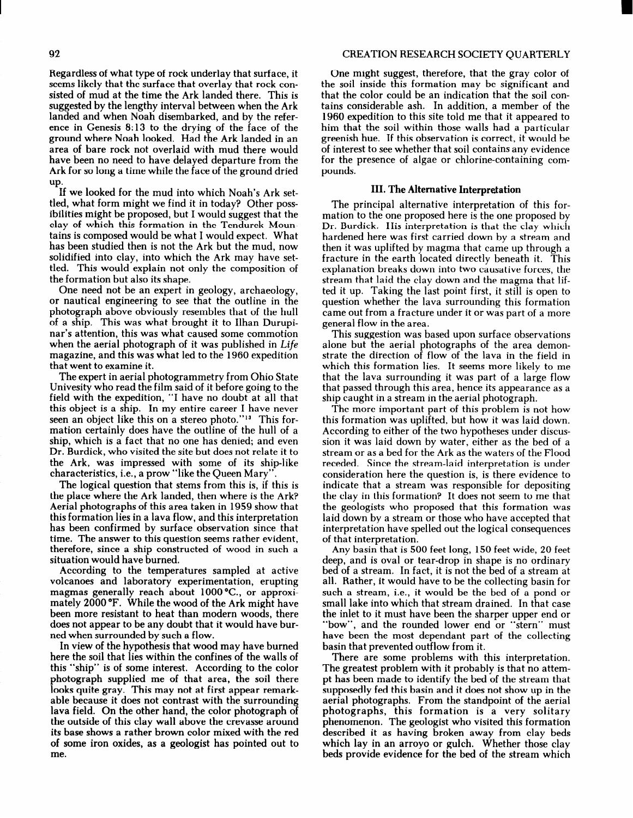Regardless of what type of rock underlay that surface, it seems likely that the surface that overlay that rock consisted of mud at the time the Ark landed there. This is suggested by the lengthy interval between when the Ark landed and when Noah disembarked, and by the reference in Genesis 8: 13 to the drying of the face of the ground where Noah looked. Had the Ark landed in an area of bare rock not overlaid with mud there would have been no need to have delayed departure from the Ark for so long a time while the face of the ground dried up.

If we looked for the mud into which Noah's Ark settled, what form might we find it in today? Other possibilities might be proposed, but I would suggest that the clay of which this formation in the Tendurek Mountains is composed would be what I would expect. What has been studied then is not the Ark but the mud, now solidified into clay, into which the Ark may have settled. This would explain not only the composition of the formation but also its shape.

One need not be an expert in geology, archaeology, or nautical engineering to see that the outline in the photograph above obviously resembles that of the hull of a ship. This was what brought it to Ilhan Durupinar's attention, this was what caused some commotion when the aerial photograph of it was published in Life magazine, and this was what led to the 1960 expedition that went to examine it.

The expert in aerial photogrammetry from Ohio State Univesity who read the film said of it before going to the field with the expedition, "I have no doubt at all that this object is a ship. In my entire career I have never seen an object like this on a stereo photo."<sup>13</sup> This formation certainly does have the outline of the hull of a ship, which is a fact that no one has denied; and even Dr. Burdick, who visited the site but does not relate it to the Ark, was impressed with some of its ship-like characteristics, i.e., a prow "like the Queen Mary".

The logical question that stems from this is, if this is the place where the Ark landed, then where is the Ark? Aerial photographs of this area taken in 1959 show that this formation lies in a lava flow, and this interpretation has been confirmed by surface observation since that time. The answer to this question seems rather evident, therefore, since a ship constructed of wood in such a situation would have burned.

According to the temperatures sampled at active volcanoes and laboratory experimentation, erupting magmas generally reach about 1000 °C., or approximately 2000 "F. While the wood of the Ark might have been more resistant to heat than modern woods, there does not appear to be any doubt that it would have burned when surrounded by such a flow.

In view of the hypothesis that wood may have burned here the soil that lies within the confines of the walls of this "ship" is of some interest. According to the color photograph supplied me of that area, the soil there looks quite gray. This may not at first appear remarkable because it does not contrast with the surrounding lava field. On the other hand, the color photograph of the outside of this clay wall above the crevasse around its base shows a rather brown color mixed with the red of some iron oxides, as a geologist has pointed out to me.

One might suggest, therefore, that the gray color of the soil inside this formation may be significant and that the color could be an indication that the soil contains considerable ash. In addition, a member of the 1960 expedition to this site told me that it appeared to him that the soil within those walls had a particular greenish hue. If this observation is correct, it would be of interest to see whether that soil contains any evidence for the presence of algae or chlorine-containing compounds.

## III. The Alternative Interpretation

The principal alternative interpretation of this formation to the one proposed here is the one proposed by Dr. Burdick. His interpretation is that the clay which hardened here was first carried down by a stream and then it was uplifted by magma that came up through a fracture in the earth located directly beneath it. This explanation breaks down into two causative forces, the stream that laid the clay down and the magma that lifted it up. Taking the last point first, it still is open to question whether the lava surrounding this formation came out from a fracture under it or was part of a more general flow in the area.

This suggestion was based upon surface observations alone but the aerial photographs of the area demonstrate the direction of flow of the lava in the field in which this formation lies. It seems more likely to me that the lava surrounding it was part of a large flow that passed through this area, hence its appearance as a ship caught in a stream in the aerial photograph.

The more important part of this problem is not how this formation was uplifted, but how it was laid down. According to either of the two hypotheses under discussion it was laid down by water, either as the bed of a stream or as a bed for the Ark as the waters of the Flood receded. Since the stream-laid interpretation is under consideration here the question is, is there evidence to indicate that a stream was responsible for depositing the clay in this formation? It does not seem to me that the geologists who proposed that this formation was laid down by a stream or those who have accepted that interpretation have spelled out the logical consequences of that interpretation.

Any basin that is 500 feet long, 150 feet wide, 20 feet deep, and is oval or tear-drop in shape is no ordinary bed of a stream. In fact, it is not the bed of a stream at all. Rather, it would have to be the collecting basin for such a stream, i.e., it would be the bed of a pond or small lake into which that stream drained. In that case the inlet to it must have been the sharper upper end or "bow", and the rounded lower end or "stern" must have been the most dependant part of the collecting basin that prevented outflow from it.

There are some problems with this interpretation. The greatest problem with it probably is that no attempt has been made to identify the bed of the stream that supposedly fed this basin and it does not show up in the aerial photographs. From the standpoint of the aerial photographs, this formation is a very solitary phenomenon, The geologist who visited this formation described it as having broken away from clay beds which lay in an arroyo or gulch. Whether those clay beds provide evidence for the bed of the stream which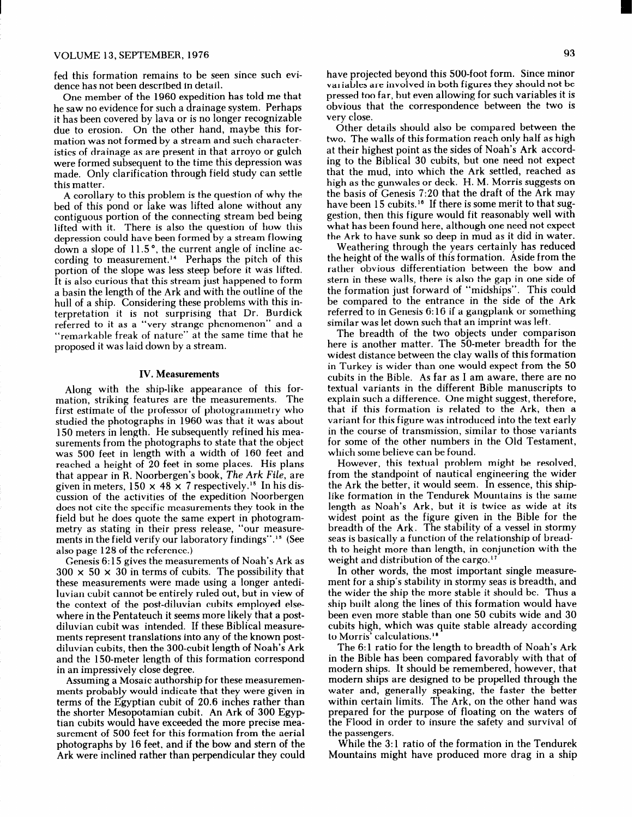# VOLUME 13, SEPTEMBER, 1976 93

fed this formation remains to be seen since such evidence has not been described in detail.

One member of the 1960 expedition has told me that he saw no evidence for such a drainage system. Perhaps it has been covered by lava or is no longer recognizable due to erosion. On the other hand, maybe this formation was not formed by a stream and such characteristics of drainage as are present in that arroyo or gulch were formed subsequent to the time this depression was made. Only clarification through field study can settle this matter.

A corollary to this problem is the question of why the bed of this pond or lake was lifted alone without any contiguous portion of the connecting stream bed being lifted with it. There is also the question of how this depression could have been formed by a stream flowing down a slope of  $11.5$ °, the current angle of incline according to measurement.14 Perhaps the pitch of this portion of the slope was less steep before it was lifted. It is also curious that this stream just happened to form a basin the length of the Ark and with the outline of the hull of a ship. Considering these problems with this interpretation it is not surprising that Dr. Burdick referred to it as a "very strange phenomenon" and a "remarkable freak of nature" at the same time that he proposed it was laid down by a stream.

#### IV. Measurements

Along with the ship-like appearance of this formation, striking features are the measurements. The first estimate of the professor of photogrammetry who studied the photographs in 1960 was that it was about 150 meters in length. He subsequently refined his measurements from the photographs to state that the object was 500 feet in length with a width of 160 feet and reached a height of 20 feet in some places. His plans that appear in R. Noorbergen's book, The Ark File, are given in meters,  $150 \times 48 \times 7$  respectively.<sup>15</sup> In his discussion of the activities of the expedition Noorbergen does not cite the specific measurements they took in the field but he does quote the same expert in photogrammetry as stating in their press release, "our measurements in the field verify our laboratory findings".15 (See also page 128 of the reference.)

Genesis 6: 15 gives the measurements of Noah's Ark as  $300 \times 50 \times 30$  in terms of cubits. The possibility that these measurements were made using a longer antediluvian cubit cannot be entirely ruled out, but in view of the context of the post-diluvian cubits employed elsewhere in the Pentateuch it seems more likely that a postdiluvian cubit was intended. If these Biblical measurements represent translations into any of the known postdiluvian cubits, then the 300-cubit length of Noah's Ark and the 150-meter length of this formation correspond in an impressively close degree.

Assuming a Mosaic authorship for these measuremenments probably would indicate that they were given in terms of the Egyptian cubit of 20.6 inches rather than the shorter Mesopotamian cubit. An Ark of 300 Egyptian cubits would have exceeded the more precise measurement of 500 feet for this formation from the aerial photographs by 16 feet, and if the bow and stern of the Ark were inclined rather than perpendicular they could have projected beyond this SOO-foot form. Since minor variables are involved in both figures they should not be pressed too far, but even allowing for such variables it is obvious that the correspondence between the two is very close.

Other details should also be compared between the two. The walls of this formation reach only half as high at their highest point as the sides of Noah's Ark according to the Biblical 30 cubits, but one need not expect that the mud, into which the Ark settled, reached as high as the gunwales or deck. H. M. Morris suggests on the basis of Genesis 7:20 that the draft of the Ark may have been 15 cubits.<sup>16</sup> If there is some merit to that suggestion, then this figure would fit reasonably well with what has been found here, although one need not expect the Ark to have sunk so deep in mud as it did in water.

Weathering through the years certainly has reduced the height of the walls of this formation. Aside from the rather obvious differentiation between the bow and stern in these walls, there is also the gap in one side of the formation just forward of "midships". This could be compared to the entrance in the side of the Ark referred to in Genesis 6: 16 if a gangplank or something similar was let down such that an imprint was left.

The breadth of the two objects under comparison here is another matter. The SO-meter breadth for the widest distance between the clay walls of this formation in Turkey is wider than one would expect from the 50 cubits in the Bible. As far as I am aware, there are no textual variants in the different Bible manuscripts to explain such a difference. One might suggest, therefore, that if this formation is related to the Ark, then a variant for this figure was introduced into the text early in the course of transmission, similar to those variants for some of the other numbers in the Old Testament, which some believe can be found.

However, this textual problem might be resolved, from the standpoint of nautical engineering the wider the Ark the better, it would seem. In essence, this shiplike formation in the Tendurek Mountains is the same length as Noah's Ark, but it is twice as wide at its widest point as the figure given in the Bible for the breadth of the Ark. The stability of a vessel in stormy seas is basically a function of the relationship of breadth to height more than length, in conjunction with the weight and distribution of the cargo.<sup>17</sup>

In other words, the most important single measurement for a ship's stability in stormy seas is breadth, and the wider the ship the more stable it should be. Thus a ship built along the lines of this formation would have been even more stable than one 50 cubits wide and 30 cubits high, which was quite stable already according to Morris' calculations.18

The 6: 1 ratio for the length to breadth of Noah's Ark in the Bible has been compared favorably with that of modern ships. It should be remembered, however, that modern ships are designed to be propelled through the water and, generally speaking, the faster the better within certain limits. The Ark, on the other hand was prepared for the purpose of floating on the waters of the Flood in order to insure the safety and survival of the passengers.

While the 3: 1 ratio of the formation in the Tendurek Mountains might have produced more drag in a ship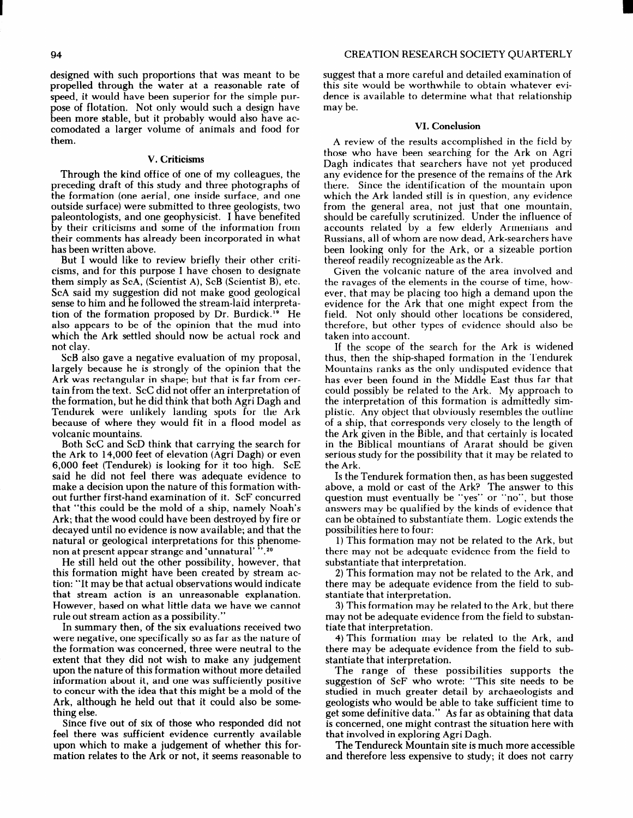#### VI. Conclusion

A review of the results accomplished in the field by those who have been searching for the Ark on Agri Dagh indicates that searchers have not yet produced any evidence for the presence of the remains of the Ark there. Since the identification of the mountain upon which the Ark landed still is in question, any evidence from the general area, not just that one mountain, should be carefully scrutinized. Under the influence of accounts related by a few elderly Armenians and Russians, all of whom are now dead, Ark-searchers have been looking only for the Ark, or a sizeable portion thereof readily recognizeable as the Ark.

Given the volcanic nature of the area involved and the ravages of the elements in the course of time, however, that may be placing too high a demand upon the evidence for the Ark that one might expect from the field. Not only should other locations be considered, therefore, but other types of evidence should also be taken into account.

If the scope of the search for the Ark is widened thus, then the ship-shaped formation in the Tendurek Mountains ranks as the only undisputed evidence that has ever been found in the Middle East thus far that could possibly be related to the Ark, My approach to the interpretation of this formation is admittedly simplistic. Any object that obviously resembles the outline of a ship, that corresponds very closely to the length of the Ark given in the Bible, and that certainly is located in the Biblical mountians of Ararat should be given serious study for the possibility that it may be related to the Ark.

Is the Tendurek formation then, as has been suggested above, a mold or cast of the Ark? The answer to this question must eventually be "yes" or "no", but those answers may be qualified by the kinds of evidence that can be obtained to substantiate them. Logic extends the possibilities here to four:

1) This formation may not be related to the Ark, but there may not be adequate evidence from the field to substantiate that interpretation.

2) This formation may not be related to the Ark, and there may be adequate evidence from the field to substantiate that interpretation.

3) This formation may be related to the Ark, but there may not be adequate evidence from the field to substantiate that interpretation.

4) This formation may be related to the Ark, and there may be adequate evidence from the field to substantiate that interpretation.

The range of these possibilities supports the suggestion of ScF who wrote: "This site needs to be studied in much greater detail by archaeologists and geologists who would be able to take sufficient time to get some definitive data." As far as obtaining that data is concerned, one might contrast the situation here with that involved in exploring Agri Dagh.

The Tendureck Mountain site is much more accessible and therefore less expensive to study; it does not carry

propelled through the water at a reasonable rate of speed, it would have been superior for the simple purpose of flotation. Not only would such a design have been more stable, but it probably would also have accomodated a larger volume of animals and food for them.

### V. Criticisms

Through the kind office of one of my colleagues, the preceding draft of this study and three photographs of the formation (one aerial, one inside surface, and one outside surface) were submitted to three geologists, two paleontologists, and one geophysicist. I have benefited by their criticisms and some of the information from their comments has already been incorporated in what has been written above.

But I would like to review briefly their other criticisms, and for this purpose I have chosen to designate them simply as ScA, (Scientist A), ScB (Scientist B), etc. ScA said-my suggestion did not make good geological sense to him and he followed the stream-laid interpretation of the formation proposed by Dr. Burdick.<sup>19</sup> He also appears to be of the opinion that the mud into which the Ark settled should now be actual rock and not clay.

ScB also gave a negative evaluation of my proposal, largely because he is strongly of the opinion that the Ark was rectangular in shape; but that is far from certain from the text. ScC did not offer an interpretation of the formation, but he did think that both Agri Dagh and Tendurek were unlikely landing spots for the Ark because of where they would fit in a flood model as volcanic mountains.

Both ScC and ScD think that carrying the search for the Ark to 14,000 feet of elevation (Agri Dagh) or even 6,000 feet (Tendurek) is looking for it too high. ScE said he did not feel there was adequate evidence to make a decision upon the nature of this formation without further first-hand examination of it. ScF concurred that "this could be the mold of a ship, namely Noah's Ark; that the wood could have been destroyed by fire or decayed until no evidence is now available; and that the natural or geological interpretations for this phenom non at present appear strange and 'unnatural' ".\*O

He still held out the other possibility, however, that this formation might have been created by stream action: "It may be that actual observations would indicate that stream action is an unreasonable explanation. However, based on what little data we have we cannot rule out stream action as a possibility."

In summary then, of the six evaluations received two were negative, one specifically so as far as the nature of the formation was concerned, three were neutral to the extent that they did not wish to make any judgement upon the nature of this formation without more detailed information about it, and one was sufficiently positive to concur with the idea that this might be a mold of the Ark, although he held out that it could also be something else.

Since five out of six of those who responded did not feel there was sufficient evidence currently available upon which to make a judgement of whether this formation relates to the Ark or not, it seems reasonable to